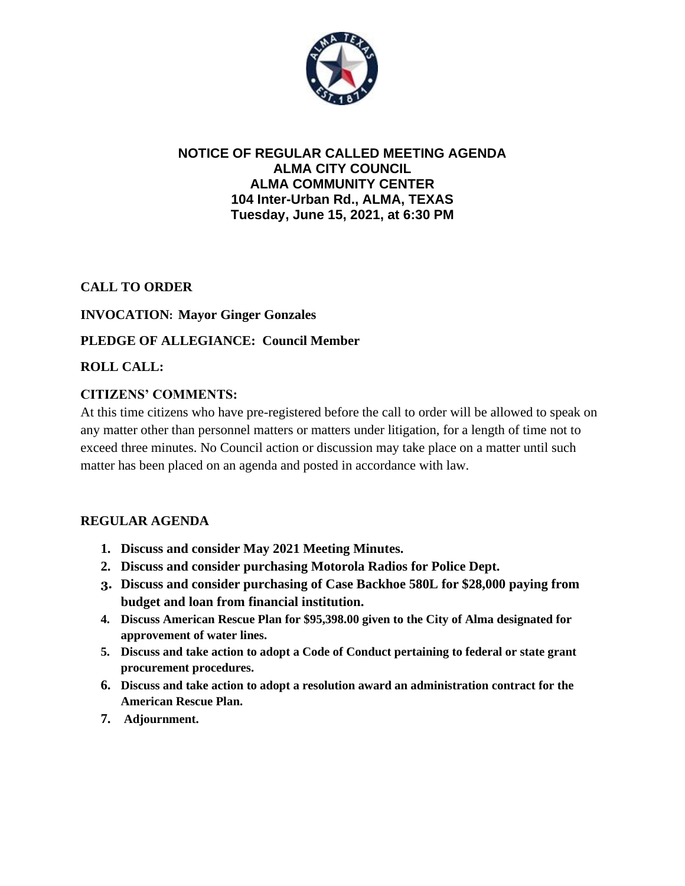

## **NOTICE OF REGULAR CALLED MEETING AGENDA ALMA CITY COUNCIL ALMA COMMUNITY CENTER 104 Inter-Urban Rd., ALMA, TEXAS Tuesday, June 15, 2021, at 6:30 PM**

## **CALL TO ORDER**

### **INVOCATION: Mayor Ginger Gonzales**

### **PLEDGE OF ALLEGIANCE: Council Member**

### **ROLL CALL:**

### **CITIZENS' COMMENTS:**

At this time citizens who have pre-registered before the call to order will be allowed to speak on any matter other than personnel matters or matters under litigation, for a length of time not to exceed three minutes. No Council action or discussion may take place on a matter until such matter has been placed on an agenda and posted in accordance with law.

#### **REGULAR AGENDA**

- **1. Discuss and consider May 2021 Meeting Minutes.**
- **2. Discuss and consider purchasing Motorola Radios for Police Dept.**
- **3. Discuss and consider purchasing of Case Backhoe 580L for \$28,000 paying from budget and loan from financial institution.**
- **4. Discuss American Rescue Plan for \$95,398.00 given to the City of Alma designated for approvement of water lines.**
- **5. Discuss and take action to adopt a Code of Conduct pertaining to federal or state grant procurement procedures.**
- **6. Discuss and take action to adopt a resolution award an administration contract for the American Rescue Plan.**
- **7. Adjournment.**